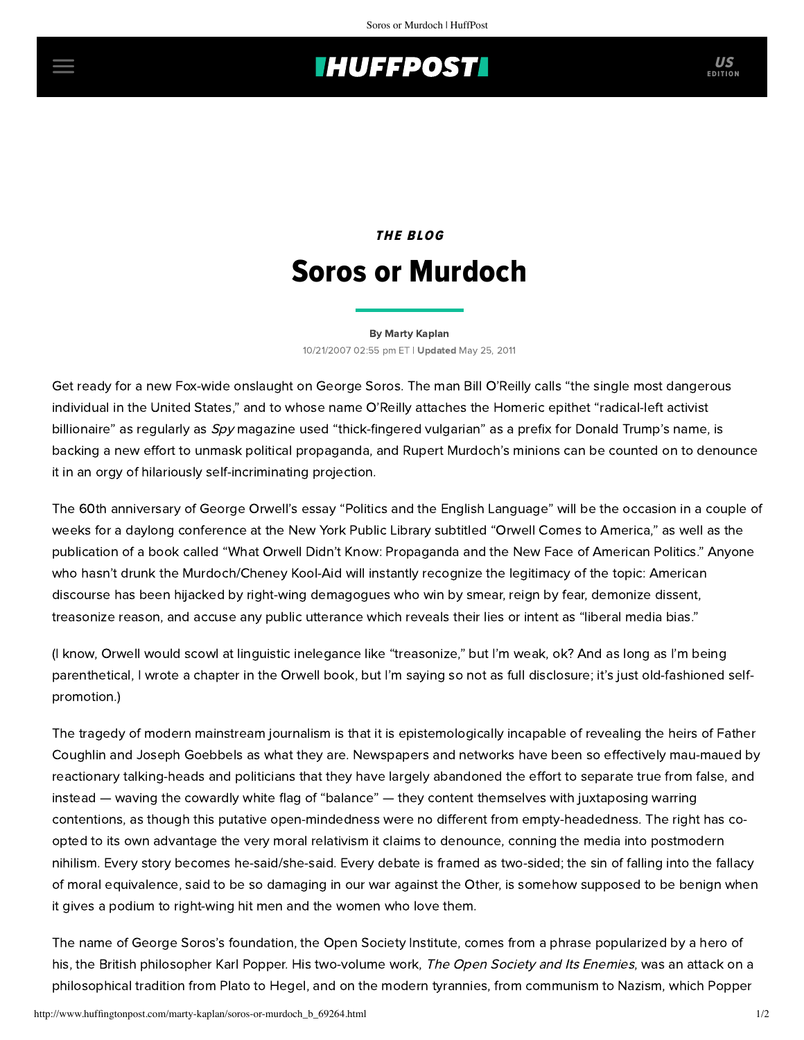# **INUFFPOST**

## **THE BLOG** Soros or Murdoch

### [By Marty Kaplan](http://www.huffingtonpost.com/author/marty-kaplan) 10/21/2007 02:55 pm ET | Updated May 25, 2011

Get ready for a new Fox-wide onslaught on George Soros. The man Bill O'Reilly calls "the single most dangerous individual in the United States," and to whose name O'Reilly attaches the Homeric epithet "radical-left activist billionaire" as regularly as Spy magazine used "thick-fingered vulgarian" as a prefix for Donald Trump's name, is backing a new effort to unmask political propaganda, and Rupert Murdoch's minions can be counted on to denounce it in an orgy of hilariously self-incriminating projection.

The 60th anniversary of George Orwell's essay "Politics and the English Language" will be the occasion in a couple of weeks for a daylong [conference](http://thereyougoagain.org/) at the New York Public Library subtitled "Orwell Comes to America," as well as the publication ofa [book](http://thereyougoagain.org/book.html) called "What Orwell Didn't Know: Propaganda and the New Face of American Politics." Anyone who hasn't drunk the Murdoch/Cheney Kool-Aid will instantly recognize the legitimacy of the topic: American discourse has been hijacked by right-wing demagogues who win by smear, reign by fear, demonize dissent, treasonize reason, and accuse any public utterance which reveals their lies or intent as "liberal media bias."

(I know, Orwell would scowl at linguistic inelegance like "treasonize," but I'm weak, ok? And as long as I'm being parenthetical, I wrote a chapter in the Orwell book, but I'm saying so not as full disclosure; it's just old-fashioned selfpromotion.)

The tragedy of modern mainstream journalism is that it is epistemologically incapable of revealing the heirs of Father Coughlin and Joseph Goebbels as what they are. Newspapers and networks have been so effectively mau-maued by reactionary talking-heads and politicians that they have largely abandoned the effort to separate true from false, and instead — waving the cowardly white flag of "balance" — they content themselves with juxtaposing warring contentions, as though this putative open-mindedness were no different from empty-headedness. The right has coopted to its own advantage the very moral relativism it claims to denounce, conning the media into postmodern nihilism. Every story becomes he-said/she-said. Every debate is framed as two-sided; the sin of falling into the fallacy of moral equivalence, said to be so damaging in our war against the Other, is somehow supposed to be benign when it gives a podium to right-wing hit men and the women who love them.

The name of George Soros's foundation, the Open Society Institute, comes from a phrase popularized by a hero of his, the British philosopher Karl Popper. His two-volume work, The Open Society and Its Enemies, was an attack on a philosophical tradition from Plato to Hegel, and on the modern tyrannies, from communism to Nazism, which Popper